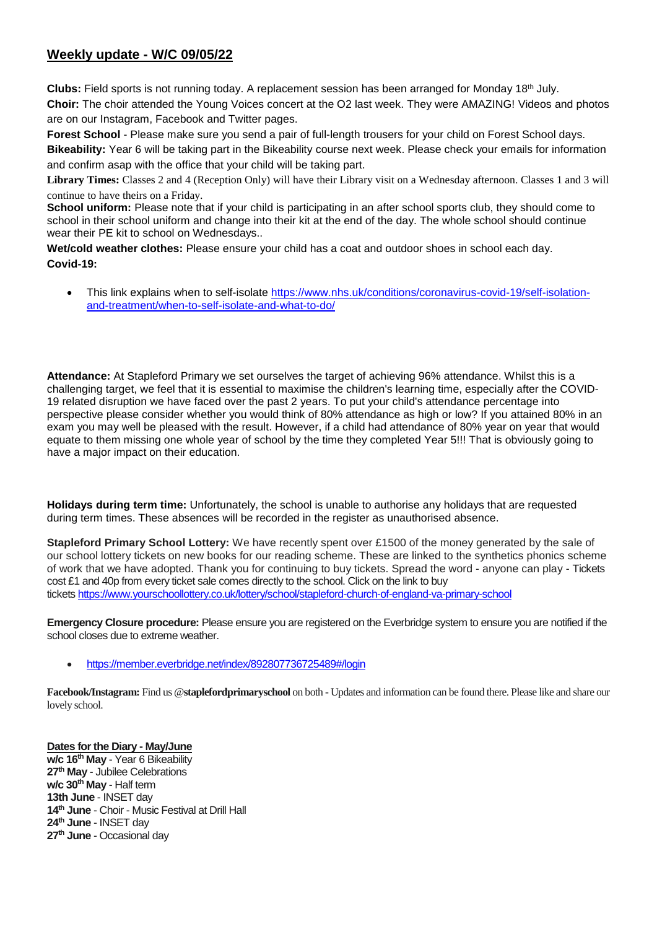## **Weekly update - W/C 09/05/22**

**Clubs:** Field sports is not running today. A replacement session has been arranged for Monday 18th July. **Choir:** The choir attended the Young Voices concert at the O2 last week. They were AMAZING! Videos and photos are on our Instagram, Facebook and Twitter pages.

**Forest School** - Please make sure you send a pair of full-length trousers for your child on Forest School days. **Bikeability:** Year 6 will be taking part in the Bikeability course next week. Please check your emails for information and confirm asap with the office that your child will be taking part.

**Library Times:** Classes 2 and 4 (Reception Only) will have their Library visit on a Wednesday afternoon. Classes 1 and 3 will continue to have theirs on a Friday.

**School uniform:** Please note that if your child is participating in an after school sports club, they should come to school in their school uniform and change into their kit at the end of the day. The whole school should continue wear their PE kit to school on Wednesdays..

**Wet/cold weather clothes:** Please ensure your child has a coat and outdoor shoes in school each day. **Covid-19:** 

 This link explains when to self-isolate [https://www.nhs.uk/conditions/coronavirus-covid-19/self-isolation](https://www.nhs.uk/conditions/coronavirus-covid-19/self-isolation-and-treatment/when-to-self-isolate-and-what-to-do/)[and-treatment/when-to-self-isolate-and-what-to-do/](https://www.nhs.uk/conditions/coronavirus-covid-19/self-isolation-and-treatment/when-to-self-isolate-and-what-to-do/)

**Attendance:** At Stapleford Primary we set ourselves the target of achieving 96% attendance. Whilst this is a challenging target, we feel that it is essential to maximise the children's learning time, especially after the COVID-19 related disruption we have faced over the past 2 years. To put your child's attendance percentage into perspective please consider whether you would think of 80% attendance as high or low? If you attained 80% in an exam you may well be pleased with the result. However, if a child had attendance of 80% year on year that would equate to them missing one whole year of school by the time they completed Year 5!!! That is obviously going to have a major impact on their education.

**Holidays during term time:** Unfortunately, the school is unable to authorise any holidays that are requested during term times. These absences will be recorded in the register as unauthorised absence.

**Stapleford Primary School Lottery:** We have recently spent over £1500 of the money generated by the sale of our school lottery tickets on new books for our reading scheme. These are linked to the synthetics phonics scheme of work that we have adopted. Thank you for continuing to buy tickets. Spread the word - anyone can play - Tickets cost £1 and 40p from every ticket sale comes directly to the school. Click on the link to buy tickets <https://www.yourschoollottery.co.uk/lottery/school/stapleford-church-of-england-va-primary-school>

**Emergency Closure procedure:** Please ensure you are registered on the Everbridge system to ensure you are notified if the school closes due to extreme weather.

<https://member.everbridge.net/index/892807736725489#/login>

**Facebook/Instagram:** Find us @**staplefordprimaryschool** on both - Updates and information can be found there. Please like and share our lovely school.

**Dates forthe Diary - May/June w/c 16th May** - Year 6 Bikeability **27th May** - Jubilee Celebrations **w/c 30th May** - Half term **13th June** - INSET day **14th June** - Choir - Music Festival at Drill Hall **24th June** - INSET day **27th June** - Occasional day